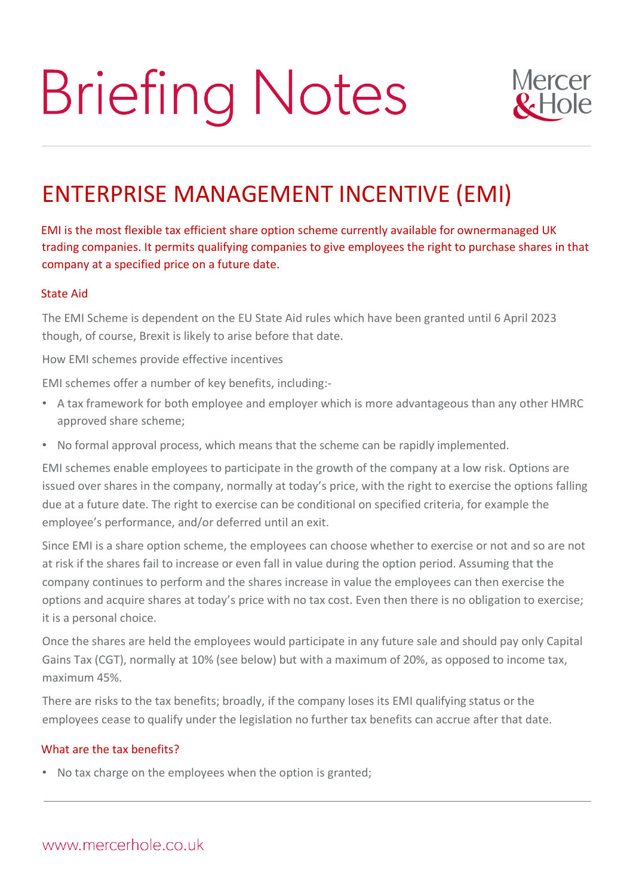# **Briefing Notes**



# ENTERPRISE MANAGEMENT INCENTIVE (EMI)

EMI is the most flexible tax efficient share option scheme currently available for ownermanaged UK trading companies. It permits qualifying companies to give employees the right to purchase shares in that company at a specified price on a future date.

#### State Aid

The EMI Scheme is dependent on the EU State Aid rules which have been granted until 6 April 2023 though, of course, Brexit is likely to arise before that date.

How EMI schemes provide effective incentives

EMI schemes offer a number of key benefits, including:-

- A tax framework for both employee and employer which is more advantageous than any other HMRC approved share scheme;
- No formal approval process, which means that the scheme can be rapidly implemented.

EMI schemes enable employees to participate in the growth of the company at a low risk. Options are issued over shares in the company, normally at today's price, with the right to exercise the options falling due at a future date. The right to exercise can be conditional on specified criteria, for example the employee's performance, and/or deferred until an exit.

Since EMI is a share option scheme, the employees can choose whether to exercise or not and so are not at risk if the shares fail to increase or even fall in value during the option period. Assuming that the company continues to perform and the shares increase in value the employees can then exercise the options and acquire shares at today's price with no tax cost. Even then there is no obligation to exercise; it is a personal choice.

Once the shares are held the employees would participate in any future sale and should pay only Capital Gains Tax (CGT), normally at 10% (see below) but with a maximum of 20%, as opposed to income tax, maximum 45%.

There are risks to the tax benefits; broadly, if the company loses its EMI qualifying status or the employees cease to qualify under the legislation no further tax benefits can accrue after that date.

## What are the tax benefits?

• No tax charge on the employees when the option is granted;